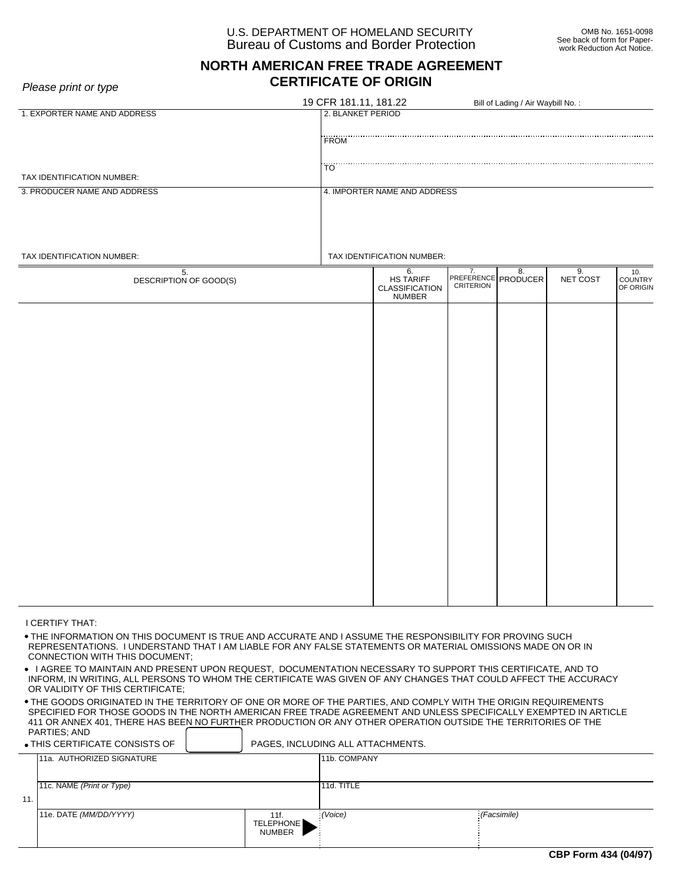## U.S. DEPARTMENT OF HOMELAND SECURITY Bureau of Customs and Border Protection

# **NORTH AMERICAN FREE TRADE AGREEMENT CERTIFICATE OF ORIGIN**

*Please print or type*

|                                                                                                                                                                                                                                                           | 19 CFR 181.11, 181.22 |                                                            |                  | Bill of Lading / Air Waybill No.: |          |                             |  |  |  |
|-----------------------------------------------------------------------------------------------------------------------------------------------------------------------------------------------------------------------------------------------------------|-----------------------|------------------------------------------------------------|------------------|-----------------------------------|----------|-----------------------------|--|--|--|
| 1. EXPORTER NAME AND ADDRESS                                                                                                                                                                                                                              |                       | 2. BLANKET PERIOD                                          |                  |                                   |          |                             |  |  |  |
|                                                                                                                                                                                                                                                           | <b>FROM</b>           |                                                            |                  |                                   |          |                             |  |  |  |
|                                                                                                                                                                                                                                                           |                       |                                                            |                  |                                   |          |                             |  |  |  |
|                                                                                                                                                                                                                                                           | ΪÖ                    |                                                            |                  |                                   |          |                             |  |  |  |
| TAX IDENTIFICATION NUMBER:<br>3. PRODUCER NAME AND ADDRESS                                                                                                                                                                                                |                       |                                                            |                  |                                   |          |                             |  |  |  |
|                                                                                                                                                                                                                                                           |                       | 4. IMPORTER NAME AND ADDRESS                               |                  |                                   |          |                             |  |  |  |
|                                                                                                                                                                                                                                                           |                       |                                                            |                  |                                   |          |                             |  |  |  |
|                                                                                                                                                                                                                                                           |                       |                                                            |                  |                                   |          |                             |  |  |  |
| TAX IDENTIFICATION NUMBER:                                                                                                                                                                                                                                |                       | TAX IDENTIFICATION NUMBER:                                 |                  |                                   |          |                             |  |  |  |
| 5.                                                                                                                                                                                                                                                        |                       | 7.<br>6.<br>8.<br>9.<br>10.                                |                  |                                   |          |                             |  |  |  |
| DESCRIPTION OF GOOD(S)                                                                                                                                                                                                                                    |                       | <b>HS TARIFF</b><br><b>CLASSIFICATION</b><br><b>NUMBER</b> | <b>CRITERION</b> | PREFERENCE PRODUCER               | NET COST | <b>COUNTRY</b><br>OF ORIGIN |  |  |  |
|                                                                                                                                                                                                                                                           |                       |                                                            |                  |                                   |          |                             |  |  |  |
|                                                                                                                                                                                                                                                           |                       |                                                            |                  |                                   |          |                             |  |  |  |
|                                                                                                                                                                                                                                                           |                       |                                                            |                  |                                   |          |                             |  |  |  |
|                                                                                                                                                                                                                                                           |                       |                                                            |                  |                                   |          |                             |  |  |  |
|                                                                                                                                                                                                                                                           |                       |                                                            |                  |                                   |          |                             |  |  |  |
|                                                                                                                                                                                                                                                           |                       |                                                            |                  |                                   |          |                             |  |  |  |
|                                                                                                                                                                                                                                                           |                       |                                                            |                  |                                   |          |                             |  |  |  |
|                                                                                                                                                                                                                                                           |                       |                                                            |                  |                                   |          |                             |  |  |  |
|                                                                                                                                                                                                                                                           |                       |                                                            |                  |                                   |          |                             |  |  |  |
|                                                                                                                                                                                                                                                           |                       |                                                            |                  |                                   |          |                             |  |  |  |
|                                                                                                                                                                                                                                                           |                       |                                                            |                  |                                   |          |                             |  |  |  |
|                                                                                                                                                                                                                                                           |                       |                                                            |                  |                                   |          |                             |  |  |  |
|                                                                                                                                                                                                                                                           |                       |                                                            |                  |                                   |          |                             |  |  |  |
|                                                                                                                                                                                                                                                           |                       |                                                            |                  |                                   |          |                             |  |  |  |
|                                                                                                                                                                                                                                                           |                       |                                                            |                  |                                   |          |                             |  |  |  |
|                                                                                                                                                                                                                                                           |                       |                                                            |                  |                                   |          |                             |  |  |  |
|                                                                                                                                                                                                                                                           |                       |                                                            |                  |                                   |          |                             |  |  |  |
|                                                                                                                                                                                                                                                           |                       |                                                            |                  |                                   |          |                             |  |  |  |
|                                                                                                                                                                                                                                                           |                       |                                                            |                  |                                   |          |                             |  |  |  |
| I CERTIFY THAT:                                                                                                                                                                                                                                           |                       |                                                            |                  |                                   |          |                             |  |  |  |
| . THE INFORMATION ON THIS DOCUMENT IS TRUE AND ACCURATE AND I ASSUME THE RESPONSIBILITY FOR PROVING SUCH<br>REPRESENTATIONS. I UNDERSTAND THAT I AM LIABLE FOR ANY FALSE STATEMENTS OR MATERIAL OMISSIONS MADE ON OR IN<br>CONNECTION WITH THIS DOCUMENT; |                       |                                                            |                  |                                   |          |                             |  |  |  |
| . LAGREE TO MAINTAIN AND PRESENT LIPON REQUEST. DOCUMENTATION NECESSARY TO SUPPORT THIS CERTIFICATE. AND TO                                                                                                                                               |                       |                                                            |                  |                                   |          |                             |  |  |  |

 I AGREE TO MAINTAIN AND PRESENT UPON REQUEST, DOCUMENTATION NECESSARY TO SUPPORT THIS CERTIFICATE, AND TO INFORM, IN WRITING, ALL PERSONS TO WHOM THE CERTIFICATE WAS GIVEN OF ANY CHANGES THAT COULD AFFECT THE ACCURACY OR VALIDITY OF THIS CERTIFICATE;

 THE GOODS ORIGINATED IN THE TERRITORY OF ONE OR MORE OF THE PARTIES, AND COMPLY WITH THE ORIGIN REQUIREMENTS SPECIFIED FOR THOSE GOODS IN THE NORTH AMERICAN FREE TRADE AGREEMENT AND UNLESS SPECIFICALLY EXEMPTED IN ARTICLE 411 OR ANNEX 401, THERE HAS BEEN NO FURTHER PRODUCTION OR ANY OTHER OPERATION OUTSIDE THE TERRITORIES OF THE PARTIES: AND PARTIES; AND

| $\bullet$ THIS CERTIFICATE CONSISTS OF |                           | PAGES, INCLUDING ALL ATTACHMENTS. |                  |                                                     |  |  |
|----------------------------------------|---------------------------|-----------------------------------|------------------|-----------------------------------------------------|--|--|
| 11a. AUTHORIZED SIGNATURE              |                           |                                   |                  |                                                     |  |  |
|                                        |                           |                                   |                  |                                                     |  |  |
|                                        |                           |                                   |                  |                                                     |  |  |
|                                        |                           |                                   |                  |                                                     |  |  |
| 11e. DATE (MM/DD/YYYY)                 |                           | 11f.                              |                  | $:$ (Facsimile)                                     |  |  |
|                                        |                           | <b>NUMBER</b>                     |                  |                                                     |  |  |
|                                        | 11c. NAME (Print or Type) |                                   | <b>TELEPHONE</b> | 11b. COMPANY<br>11d. TITLE<br>$\frac{1}{2}$ (Voice) |  |  |